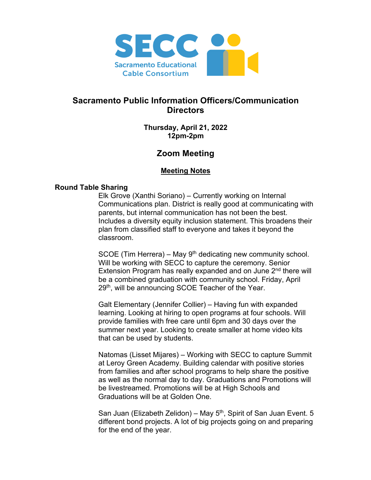

# **Sacramento Public Information Officers/Communication Directors**

**Thursday, April 21, 2022 12pm-2pm**

# **Zoom Meeting**

## **Meeting Notes**

## **Round Table Sharing**

Elk Grove (Xanthi Soriano) – Currently working on Internal Communications plan. District is really good at communicating with parents, but internal communication has not been the best. Includes a diversity equity inclusion statement. This broadens their plan from classified staff to everyone and takes it beyond the classroom.

SCOE (Tim Herrera) – May  $9<sup>th</sup>$  dedicating new community school. Will be working with SECC to capture the ceremony. Senior Extension Program has really expanded and on June 2<sup>nd</sup> there will be a combined graduation with community school. Friday, April 29<sup>th</sup>, will be announcing SCOE Teacher of the Year.

Galt Elementary (Jennifer Collier) – Having fun with expanded learning. Looking at hiring to open programs at four schools. Will provide families with free care until 6pm and 30 days over the summer next year. Looking to create smaller at home video kits that can be used by students.

Natomas (Lisset Mijares) – Working with SECC to capture Summit at Leroy Green Academy. Building calendar with positive stories from families and after school programs to help share the positive as well as the normal day to day. Graduations and Promotions will be livestreamed. Promotions will be at High Schools and Graduations will be at Golden One.

San Juan (Elizabeth Zelidon) – May  $5<sup>th</sup>$ , Spirit of San Juan Event. 5 different bond projects. A lot of big projects going on and preparing for the end of the year.